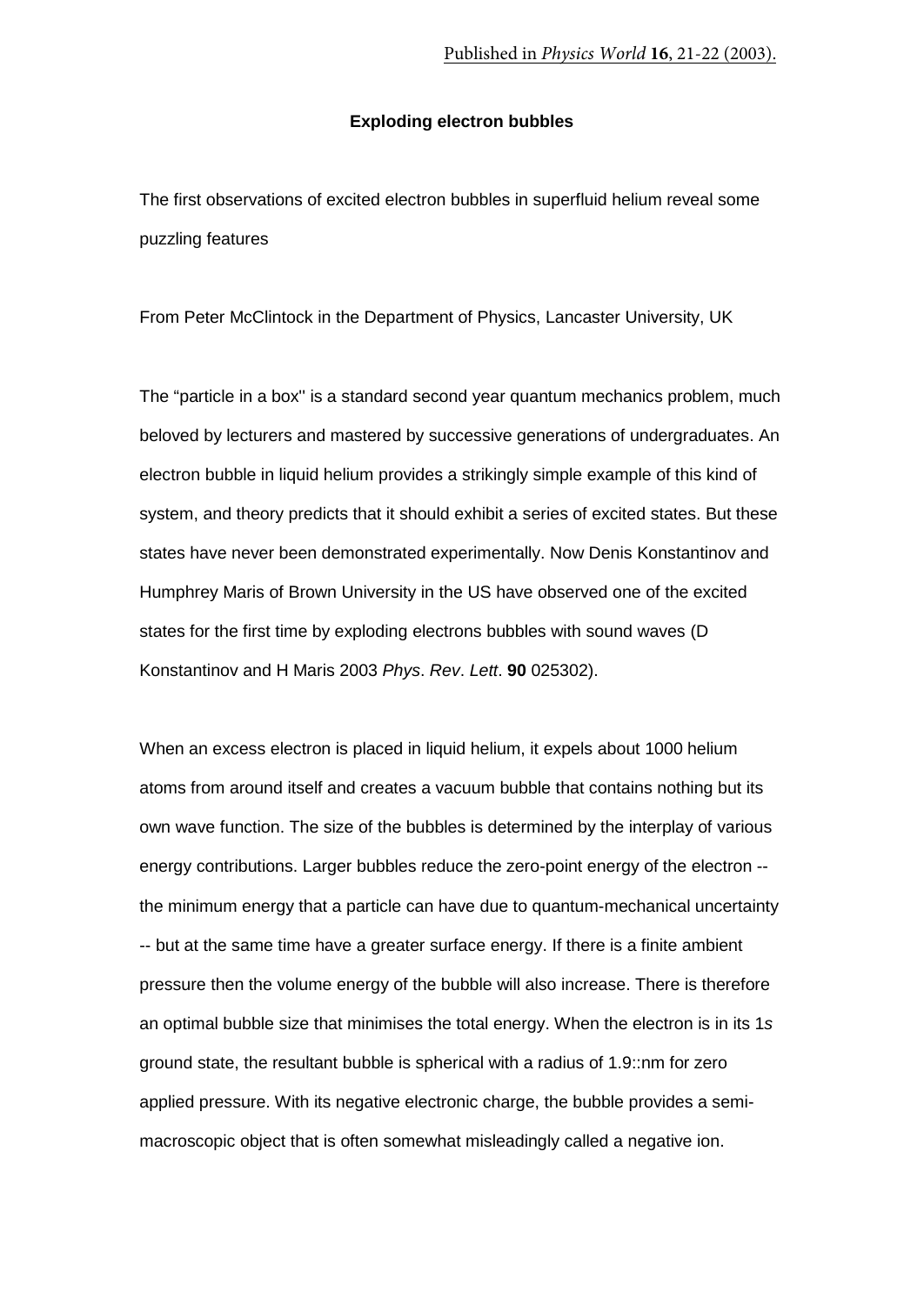## **Exploding electron bubbles**

The first observations of excited electron bubbles in superfluid helium reveal some puzzling features

From Peter McClintock in the Department of Physics, Lancaster University, UK

The "particle in a box'' is a standard second year quantum mechanics problem, much beloved by lecturers and mastered by successive generations of undergraduates. An electron bubble in liquid helium provides a strikingly simple example of this kind of system, and theory predicts that it should exhibit a series of excited states. But these states have never been demonstrated experimentally. Now Denis Konstantinov and Humphrey Maris of Brown University in the US have observed one of the excited states for the first time by exploding electrons bubbles with sound waves (D Konstantinov and H Maris 2003 *Phys*. *Rev*. *Lett*. **90** 025302).

When an excess electron is placed in liquid helium, it expels about 1000 helium atoms from around itself and creates a vacuum bubble that contains nothing but its own wave function. The size of the bubbles is determined by the interplay of various energy contributions. Larger bubbles reduce the zero-point energy of the electron - the minimum energy that a particle can have due to quantum-mechanical uncertainty -- but at the same time have a greater surface energy. If there is a finite ambient pressure then the volume energy of the bubble will also increase. There is therefore an optimal bubble size that minimises the total energy. When the electron is in its 1*s* ground state, the resultant bubble is spherical with a radius of 1.9::nm for zero applied pressure. With its negative electronic charge, the bubble provides a semimacroscopic object that is often somewhat misleadingly called a negative ion.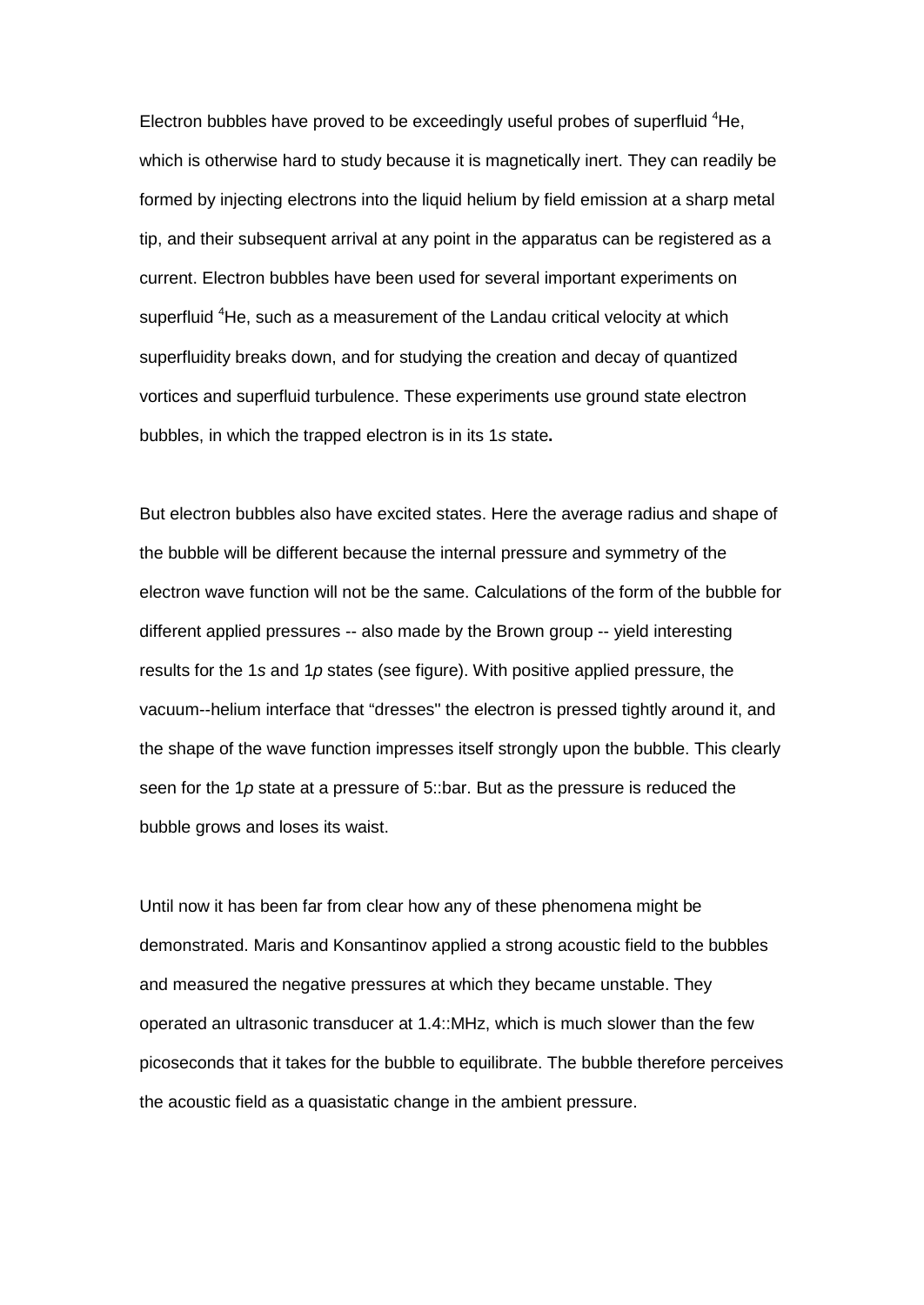Electron bubbles have proved to be exceedingly useful probes of superfluid <sup>4</sup>He, which is otherwise hard to study because it is magnetically inert. They can readily be formed by injecting electrons into the liquid helium by field emission at a sharp metal tip, and their subsequent arrival at any point in the apparatus can be registered as a current. Electron bubbles have been used for several important experiments on superfluid <sup>4</sup>He, such as a measurement of the Landau critical velocity at which superfluidity breaks down, and for studying the creation and decay of quantized vortices and superfluid turbulence. These experiments use ground state electron bubbles, in which the trapped electron is in its 1*s* state**.**

But electron bubbles also have excited states. Here the average radius and shape of the bubble will be different because the internal pressure and symmetry of the electron wave function will not be the same. Calculations of the form of the bubble for different applied pressures -- also made by the Brown group -- yield interesting results for the 1*s* and 1*p* states (see figure). With positive applied pressure, the vacuum--helium interface that "dresses'' the electron is pressed tightly around it, and the shape of the wave function impresses itself strongly upon the bubble. This clearly seen for the 1*p* state at a pressure of 5::bar. But as the pressure is reduced the bubble grows and loses its waist.

Until now it has been far from clear how any of these phenomena might be demonstrated. Maris and Konsantinov applied a strong acoustic field to the bubbles and measured the negative pressures at which they became unstable. They operated an ultrasonic transducer at 1.4::MHz, which is much slower than the few picoseconds that it takes for the bubble to equilibrate. The bubble therefore perceives the acoustic field as a quasistatic change in the ambient pressure.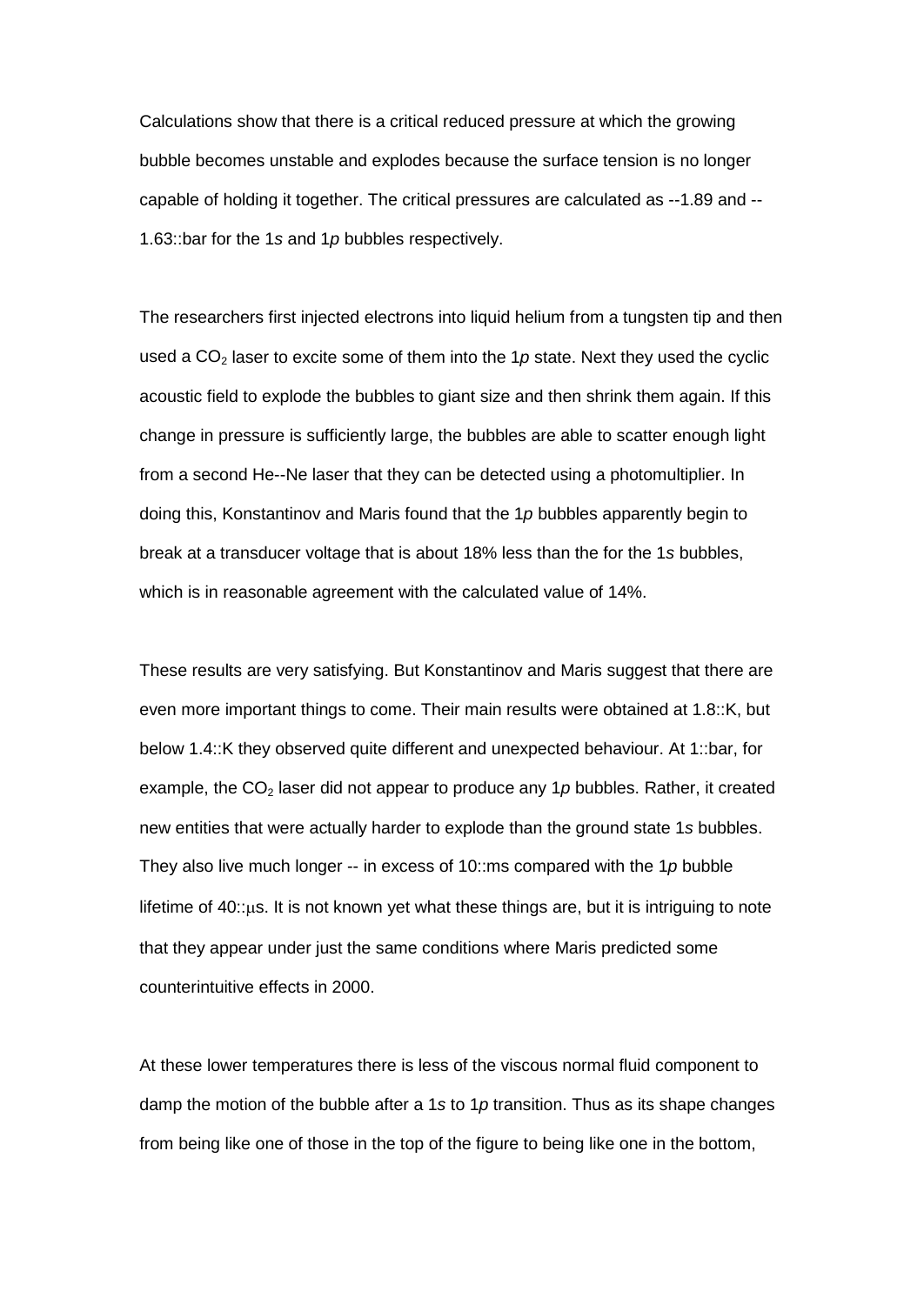Calculations show that there is a critical reduced pressure at which the growing bubble becomes unstable and explodes because the surface tension is no longer capable of holding it together. The critical pressures are calculated as --1.89 and -- 1.63::bar for the 1*s* and 1*p* bubbles respectively.

The researchers first injected electrons into liquid helium from a tungsten tip and then used a  $CO<sub>2</sub>$  laser to excite some of them into the 1p state. Next they used the cyclic acoustic field to explode the bubbles to giant size and then shrink them again. If this change in pressure is sufficiently large, the bubbles are able to scatter enough light from a second He--Ne laser that they can be detected using a photomultiplier. In doing this, Konstantinov and Maris found that the 1*p* bubbles apparently begin to break at a transducer voltage that is about 18% less than the for the 1*s* bubbles, which is in reasonable agreement with the calculated value of 14%.

These results are very satisfying. But Konstantinov and Maris suggest that there are even more important things to come. Their main results were obtained at 1.8::K, but below 1.4::K they observed quite different and unexpected behaviour. At 1::bar, for example, the  $CO<sub>2</sub>$  laser did not appear to produce any 1 $p$  bubbles. Rather, it created new entities that were actually harder to explode than the ground state 1*s* bubbles. They also live much longer -- in excess of 10::ms compared with the 1*p* bubble lifetime of 40::µs. It is not known yet what these things are, but it is intriguing to note that they appear under just the same conditions where Maris predicted some counterintuitive effects in 2000.

At these lower temperatures there is less of the viscous normal fluid component to damp the motion of the bubble after a 1*s* to 1*p* transition. Thus as its shape changes from being like one of those in the top of the figure to being like one in the bottom,